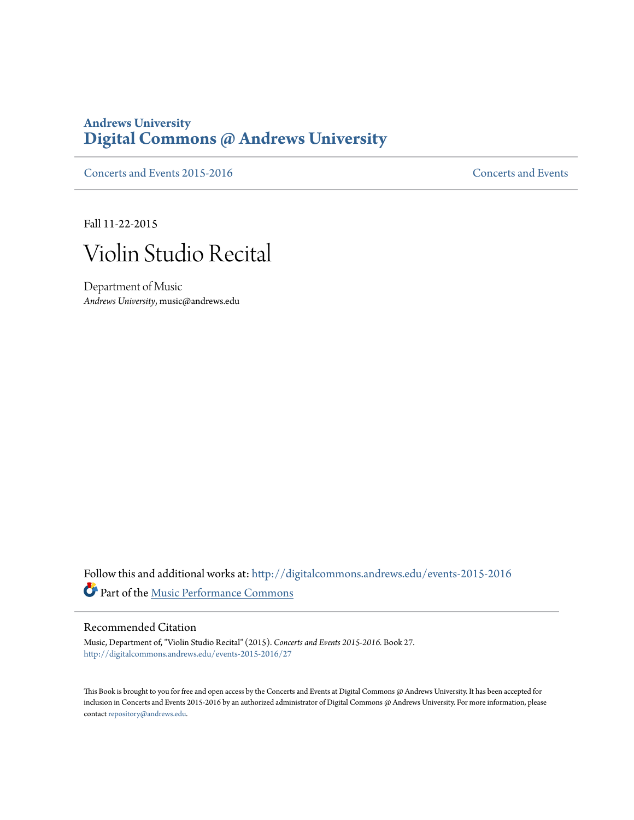## **Andrews University [Digital Commons @ Andrews University](http://digitalcommons.andrews.edu?utm_source=digitalcommons.andrews.edu%2Fevents-2015-2016%2F27&utm_medium=PDF&utm_campaign=PDFCoverPages)**

[Concerts and Events 2015-2016](http://digitalcommons.andrews.edu/events-2015-2016?utm_source=digitalcommons.andrews.edu%2Fevents-2015-2016%2F27&utm_medium=PDF&utm_campaign=PDFCoverPages) [Concerts and Events](http://digitalcommons.andrews.edu/music-events?utm_source=digitalcommons.andrews.edu%2Fevents-2015-2016%2F27&utm_medium=PDF&utm_campaign=PDFCoverPages)

Fall 11-22-2015



Department of Music *Andrews University*, music@andrews.edu

Follow this and additional works at: [http://digitalcommons.andrews.edu/events-2015-2016](http://digitalcommons.andrews.edu/events-2015-2016?utm_source=digitalcommons.andrews.edu%2Fevents-2015-2016%2F27&utm_medium=PDF&utm_campaign=PDFCoverPages) Part of the [Music Performance Commons](http://network.bepress.com/hgg/discipline/1128?utm_source=digitalcommons.andrews.edu%2Fevents-2015-2016%2F27&utm_medium=PDF&utm_campaign=PDFCoverPages)

## Recommended Citation

Music, Department of, "Violin Studio Recital" (2015). *Concerts and Events 2015-2016.* Book 27. [http://digitalcommons.andrews.edu/events-2015-2016/27](http://digitalcommons.andrews.edu/events-2015-2016/27?utm_source=digitalcommons.andrews.edu%2Fevents-2015-2016%2F27&utm_medium=PDF&utm_campaign=PDFCoverPages)

This Book is brought to you for free and open access by the Concerts and Events at Digital Commons @ Andrews University. It has been accepted for inclusion in Concerts and Events 2015-2016 by an authorized administrator of Digital Commons @ Andrews University. For more information, please contact [repository@andrews.edu.](mailto:repository@andrews.edu)